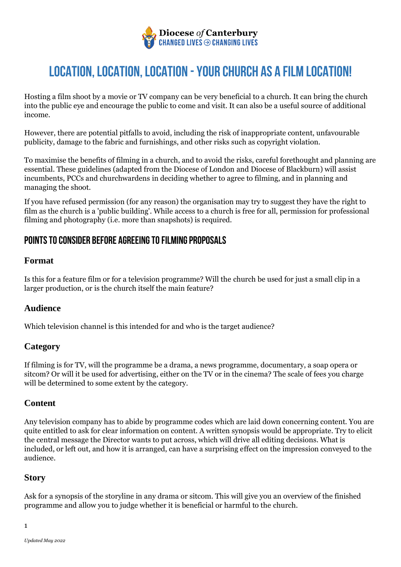

Hosting a film shoot by a movie or TV company can be very beneficial to a church. It can bring the church into the public eye and encourage the public to come and visit. It can also be a useful source of additional income.

However, there are potential pitfalls to avoid, including the risk of inappropriate content, unfavourable publicity, damage to the fabric and furnishings, and other risks such as copyright violation.

To maximise the benefits of filming in a church, and to avoid the risks, careful forethought and planning are essential. These guidelines (adapted from the Diocese of London and Diocese of Blackburn) will assist incumbents, PCCs and churchwardens in deciding whether to agree to filming, and in planning and managing the shoot.

If you have refused permission (for any reason) the organisation may try to suggest they have the right to film as the church is a 'public building'. While access to a church is free for all, permission for professional filming and photography (i.e. more than snapshots) is required.

## **Points to consider before agreeing to filming proposals**

#### **Format**

Is this for a feature film or for a television programme? Will the church be used for just a small clip in a larger production, or is the church itself the main feature?

### **Audience**

Which television channel is this intended for and who is the target audience?

### **Category**

If filming is for TV, will the programme be a drama, a news programme, documentary, a soap opera or sitcom? Or will it be used for advertising, either on the TV or in the cinema? The scale of fees you charge will be determined to some extent by the category.

### **Content**

Any television company has to abide by programme codes which are laid down concerning content. You are quite entitled to ask for clear information on content. A written synopsis would be appropriate. Try to elicit the central message the Director wants to put across, which will drive all editing decisions. What is included, or left out, and how it is arranged, can have a surprising effect on the impression conveyed to the audience.

### **Story**

Ask for a synopsis of the storyline in any drama or sitcom. This will give you an overview of the finished programme and allow you to judge whether it is beneficial or harmful to the church.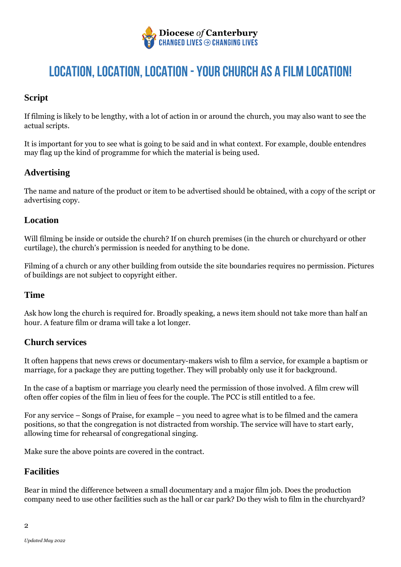

## **Script**

If filming is likely to be lengthy, with a lot of action in or around the church, you may also want to see the actual scripts.

It is important for you to see what is going to be said and in what context. For example, double entendres may flag up the kind of programme for which the material is being used.

## **Advertising**

The name and nature of the product or item to be advertised should be obtained, with a copy of the script or advertising copy.

#### **Location**

Will filming be inside or outside the church? If on church premises (in the church or churchyard or other curtilage), the church's permission is needed for anything to be done.

Filming of a church or any other building from outside the site boundaries requires no permission. Pictures of buildings are not subject to copyright either.

#### **Time**

Ask how long the church is required for. Broadly speaking, a news item should not take more than half an hour. A feature film or drama will take a lot longer.

### **Church services**

It often happens that news crews or documentary-makers wish to film a service, for example a baptism or marriage, for a package they are putting together. They will probably only use it for background.

In the case of a baptism or marriage you clearly need the permission of those involved. A film crew will often offer copies of the film in lieu of fees for the couple. The PCC is still entitled to a fee.

For any service – Songs of Praise, for example – you need to agree what is to be filmed and the camera positions, so that the congregation is not distracted from worship. The service will have to start early, allowing time for rehearsal of congregational singing.

Make sure the above points are covered in the contract.

### **Facilities**

Bear in mind the difference between a small documentary and a major film job. Does the production company need to use other facilities such as the hall or car park? Do they wish to film in the churchyard?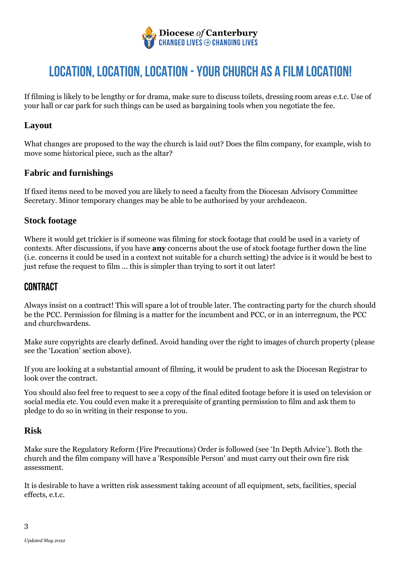

If filming is likely to be lengthy or for drama, make sure to discuss toilets, dressing room areas e.t.c. Use of your hall or car park for such things can be used as bargaining tools when you negotiate the fee.

## **Layout**

What changes are proposed to the way the church is laid out? Does the film company, for example, wish to move some historical piece, such as the altar?

### **Fabric and furnishings**

If fixed items need to be moved you are likely to need a faculty from the Diocesan Advisory Committee Secretary. Minor temporary changes may be able to be authorised by your archdeacon.

### **Stock footage**

Where it would get trickier is if someone was filming for stock footage that could be used in a variety of contexts. After discussions, if you have **any** concerns about the use of stock footage further down the line (i.e. concerns it could be used in a context not suitable for a church setting) the advice is it would be best to just refuse the request to film ... this is simpler than trying to sort it out later!

## **Contract**

Always insist on a contract! This will spare a lot of trouble later. The contracting party for the church should be the PCC. Permission for filming is a matter for the incumbent and PCC, or in an interregnum, the PCC and churchwardens.

Make sure copyrights are clearly defined. Avoid handing over the right to images of church property (please see the 'Location' section above).

If you are looking at a substantial amount of filming, it would be prudent to ask the Diocesan Registrar to look over the contract.

You should also feel free to request to see a copy of the final edited footage before it is used on television or social media etc. You could even make it a prerequisite of granting permission to film and ask them to pledge to do so in writing in their response to you.

### **Risk**

Make sure the Regulatory Reform (Fire Precautions) Order is followed (see 'In Depth Advice'). Both the church and the film company will have a 'Responsible Person' and must carry out their own fire risk assessment.

It is desirable to have a written risk assessment taking account of all equipment, sets, facilities, special effects, e.t.c.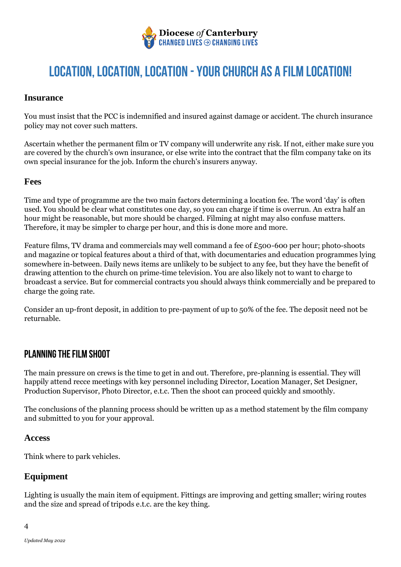

#### **Insurance**

You must insist that the PCC is indemnified and insured against damage or accident. The church insurance policy may not cover such matters.

Ascertain whether the permanent film or TV company will underwrite any risk. If not, either make sure you are covered by the church's own insurance, or else write into the contract that the film company take on its own special insurance for the job. Inform the church's insurers anyway.

#### **Fees**

Time and type of programme are the two main factors determining a location fee. The word 'day' is often used. You should be clear what constitutes one day, so you can charge if time is overrun. An extra half an hour might be reasonable, but more should be charged. Filming at night may also confuse matters. Therefore, it may be simpler to charge per hour, and this is done more and more.

Feature films, TV drama and commercials may well command a fee of £500-600 per hour; photo-shoots and magazine or topical features about a third of that, with documentaries and education programmes lying somewhere in-between. Daily news items are unlikely to be subject to any fee, but they have the benefit of drawing attention to the church on prime-time television. You are also likely not to want to charge to broadcast a service. But for commercial contracts you should always think commercially and be prepared to charge the going rate.

Consider an up-front deposit, in addition to pre-payment of up to 50% of the fee. The deposit need not be returnable.

# **Planning the film shoot**

The main pressure on crews is the time to get in and out. Therefore, pre-planning is essential. They will happily attend recce meetings with key personnel including Director, Location Manager, Set Designer, Production Supervisor, Photo Director, e.t.c. Then the shoot can proceed quickly and smoothly.

The conclusions of the planning process should be written up as a method statement by the film company and submitted to you for your approval.

#### **Access**

Think where to park vehicles.

### **Equipment**

Lighting is usually the main item of equipment. Fittings are improving and getting smaller; wiring routes and the size and spread of tripods e.t.c. are the key thing.